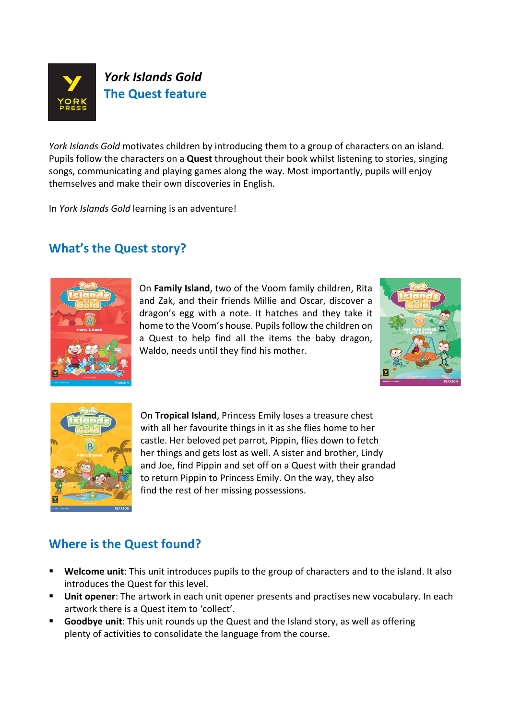

*York Islands Gold* motivates children by introducing them to a group of characters on an island. Pupils follow the characters on a **Quest** throughout their book whilst listening to stories, singing songs, communicating and playing games along the way. Most importantly, pupils will enjoy themselves and make their own discoveries in English.

In *York Islands Gold* learning is an adventure!

## **What's the Quest story?**



On **Family Island**, two of the Voom family children, Rita and Zak, and their friends Millie and Oscar, discover a dragon's egg with a note. It hatches and they take it home to the Voom's house. Pupils follow the children on a Quest to help find all the items the baby dragon, Waldo, needs until they find his mother.





On Tropical Island, Princess Emily loses a treasure chest with all her favourite things in it as she flies home to her castle. Her beloved pet parrot, Pippin, flies down to fetch her things and gets lost as well. A sister and brother, Lindy and Joe, find Pippin and set off on a Quest with their grandad to return Pippin to Princess Emily. On the way, they also find the rest of her missing possessions.

## **Where is the Quest found?**

- **E** Welcome unit: This unit introduces pupils to the group of characters and to the island. It also introduces the Quest for this level.
- **Unit opener**: The artwork in each unit opener presents and practises new vocabulary. In each artwork there is a Quest item to 'collect'.
- **Goodbye unit**: This unit rounds up the Quest and the Island story, as well as offering plenty of activities to consolidate the language from the course.